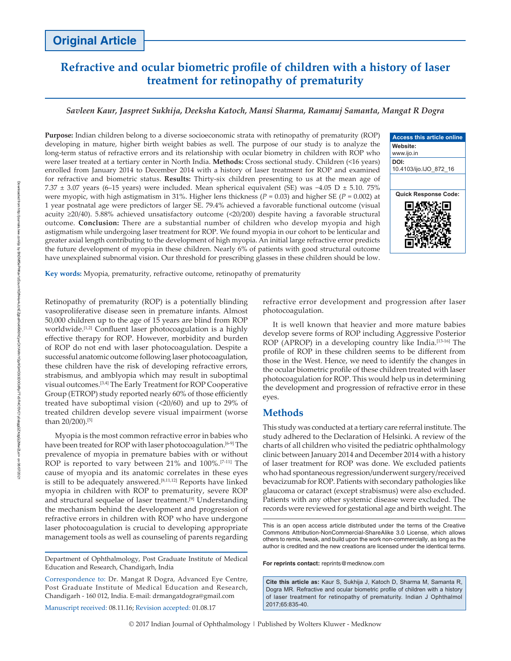# **Refractive and ocular biometric profile of children with a history of laser treatment for retinopathy of prematurity**

# *Savleen Kaur, Jaspreet Sukhija, Deeksha Katoch, Mansi Sharma, Ramanuj Samanta, Mangat R Dogra*

**Purpose:** Indian children belong to a diverse socioeconomic strata with retinopathy of prematurity (ROP) developing in mature, higher birth weight babies as well. The purpose of our study is to analyze the long‑term status of refractive errors and its relationship with ocular biometry in children with ROP who were laser treated at a tertiary center in North India. **Methods:** Cross sectional study. Children (<16 years) enrolled from January 2014 to December 2014 with a history of laser treatment for ROP and examined for refractive and biometric status. **Results:** Thirty‑six children presenting to us at the mean age of 7.37 ± 3.07 years (6–15 years) were included. Mean spherical equivalent (SE) was −4.05 D ± 5.10. 75% were myopic, with high astigmatism in 31%. Higher lens thickness ( $P = 0.03$ ) and higher SE ( $P = 0.002$ ) at 1 year postnatal age were predictors of larger SE. 79.4% achieved a favorable functional outcome (visual acuity ≥20/40). 5.88% achieved unsatisfactory outcome (<20/200) despite having a favorable structural outcome. **Conclusion:** There are a substantial number of children who develop myopia and high astigmatism while undergoing laser treatment for ROP. We found myopia in our cohort to be lenticular and greater axial length contributing to the development of high myopia. An initial large refractive error predicts the future development of myopia in these children. Nearly 6% of patients with good structural outcome have unexplained subnormal vision. Our threshold for prescribing glasses in these children should be low.



**Key words:** Myopia, prematurity, refractive outcome, retinopathy of prematurity

Retinopathy of prematurity (ROP) is a potentially blinding vasoproliferative disease seen in premature infants. Almost 50,000 children up to the age of 15 years are blind from ROP worldwide.<sup>[1,2]</sup> Confluent laser photocoagulation is a highly effective therapy for ROP. However, morbidity and burden of ROP do not end with laser photocoagulation. Despite a successful anatomic outcome following laser photocoagulation, these children have the risk of developing refractive errors, strabismus, and amblyopia which may result in suboptimal visual outcomes.[3,4] The Early Treatment for ROP Cooperative Group (ETROP) study reported nearly 60% of those efficiently treated have suboptimal vision (<20/60) and up to 29% of treated children develop severe visual impairment (worse than 20/200).[5]

Myopia is the most common refractive error in babies who have been treated for ROP with laser photocoagulation.<sup>[6-9]</sup> The prevalence of myopia in premature babies with or without ROP is reported to vary between 21% and 100%.<sup>[7-11]</sup> The cause of myopia and its anatomic correlates in these eyes is still to be adequately answered.<sup>[8,11,12]</sup> Reports have linked myopia in children with ROP to prematurity, severe ROP and structural sequelae of laser treatment.<sup>[9]</sup> Understanding the mechanism behind the development and progression of refractive errors in children with ROP who have undergone laser photocoagulation is crucial to developing appropriate management tools as well as counseling of parents regarding

Department of Ophthalmology, Post Graduate Institute of Medical Education and Research, Chandigarh, India

Correspondence to: Dr. Mangat R Dogra, Advanced Eye Centre, Post Graduate Institute of Medical Education and Research, Chandigarh ‑ 160 012, India. E‑mail: drmangatdogra@gmail.com

Manuscript received: 08.11.16; Revision accepted: 01.08.17

refractive error development and progression after laser photocoagulation.

It is well known that heavier and more mature babies develop severe forms of ROP including Aggressive Posterior ROP (APROP) in a developing country like India.<sup>[13-16]</sup> The profile of ROP in these children seems to be different from those in the West. Hence, we need to identify the changes in the ocular biometric profile of these children treated with laser photocoagulation for ROP. This would help us in determining the development and progression of refractive error in these eyes.

# **Methods**

This study was conducted at a tertiary care referral institute. The study adhered to the Declaration of Helsinki. A review of the charts of all children who visited the pediatric ophthalmology clinic between January 2014 and December 2014 with a history of laser treatment for ROP was done. We excluded patients who had spontaneous regression/underwent surgery/received bevacizumab for ROP. Patients with secondary pathologies like glaucoma or cataract (except strabismus) were also excluded. Patients with any other systemic disease were excluded. The records were reviewed for gestational age and birth weight. The

**For reprints contact:** reprints@medknow.com

**Cite this article as:** Kaur S, Sukhija J, Katoch D, Sharma M, Samanta R, Dogra MR. Refractive and ocular biometric profile of children with a history of laser treatment for retinopathy of prematurity. Indian J Ophthalmol 2017;65:835-40.

This is an open access article distributed under the terms of the Creative Commons Attribution‑NonCommercial‑ShareAlike 3.0 License, which allows others to remix, tweak, and build upon the work non‑commercially, as long as the author is credited and the new creations are licensed under the identical terms.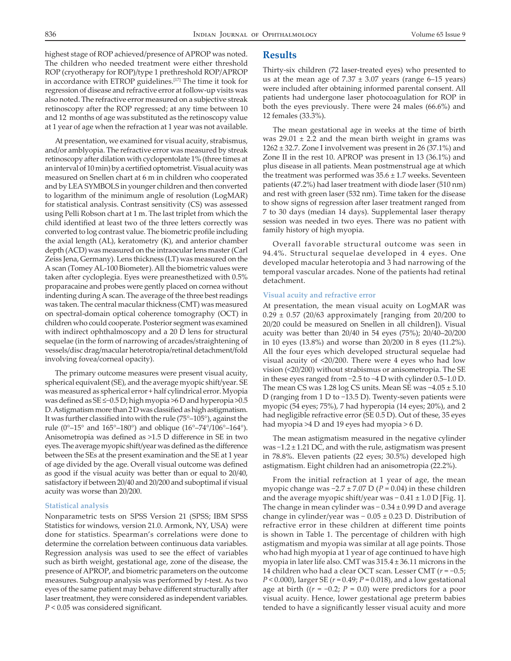highest stage of ROP achieved/presence of APROP was noted. The children who needed treatment were either threshold ROP (cryotherapy for ROP)/type 1 prethreshold ROP/APROP in accordance with ETROP guidelines.[17] The time it took for regression of disease and refractive error at follow‑up visits was also noted. The refractive error measured on a subjective streak retinoscopy after the ROP regressed; at any time between 10 and 12 months of age was substituted as the retinoscopy value at 1 year of age when the refraction at 1 year was not available.

At presentation, we examined for visual acuity, strabismus, and/or amblyopia. The refractive error was measured by streak retinoscopy after dilation with cyclopentolate 1% (three times at an interval of 10 min) by a certified optometrist. Visual acuity was measured on Snellen chart at 6 m in children who cooperated and by LEA SYMBOLS in younger children and then converted to logarithm of the minimum angle of resolution (LogMAR) for statistical analysis. Contrast sensitivity (CS) was assessed using Pelli Robson chart at 1 m. The last triplet from which the child identified at least two of the three letters correctly was converted to log contrast value. The biometric profile including the axial length (AL), keratometry (K), and anterior chamber depth (ACD) was measured on the intraocular lens master (Carl Zeiss Jena, Germany). Lens thickness (LT) was measured on the A scan (Tomey AL‑100 Biometer). All the biometric values were taken after cycloplegia. Eyes were preanesthetized with 0.5% proparacaine and probes were gently placed on cornea without indenting during A scan. The average of the three best readings was taken. The central macular thickness (CMT) was measured on spectral‑domain optical coherence tomography (OCT) in children who could cooperate. Posterior segment was examined with indirect ophthalmoscopy and a 20 D lens for structural sequelae (in the form of narrowing of arcades/straightening of vessels/disc drag/macular heterotropia/retinal detachment/fold involving fovea/corneal opacity).

The primary outcome measures were present visual acuity, spherical equivalent (SE), and the average myopic shift/year. SE was measured as spherical error + half cylindrical error. Myopia was defined as SE ≤−0.5 D; high myopia >6 D and hyperopia >0.5 D. Astigmatism more than 2 D was classified as high astigmatism. It was further classified into with the rule (75°–105°), against the rule (0°–15° and 165°–180°) and oblique (16°–74°/106°–164°). Anisometropia was defined as >1.5 D difference in SE in two eyes. The average myopic shift/year was defined as the difference between the SEs at the present examination and the SE at 1 year of age divided by the age. Overall visual outcome was defined as good if the visual acuity was better than or equal to 20/40, satisfactory if between 20/40 and 20/200 and suboptimal if visual acuity was worse than 20/200.

#### **Statistical analysis**

Nonparametric tests on  SPSS Version 21 (SPSS; IBM SPSS Statistics for windows, version 21.0. Armonk, NY, USA) were done for statistics. Spearman's correlations were done to determine the correlation between continuous data variables. Regression analysis was used to see the effect of variables such as birth weight, gestational age, zone of the disease, the presence of APROP, and biometric parameters on the outcome measures. Subgroup analysis was performed by *t*‑test. As two eyes of the same patient may behave different structurally after laser treatment, they were considered as independent variables. *P* < 0.05 was considered significant.

## **Results**

Thirty-six children (72 laser-treated eyes) who presented to us at the mean age of  $7.37 \pm 3.07$  years (range 6-15 years) were included after obtaining informed parental consent. All patients had undergone laser photocoagulation for ROP in both the eyes previously. There were 24 males (66.6%) and 12 females (33.3%).

The mean gestational age in weeks at the time of birth was  $29.01 \pm 2.2$  and the mean birth weight in grams was  $1262 \pm 32.7$ . Zone I involvement was present in 26 (37.1%) and Zone II in the rest 10. APROP was present in 13 (36.1%) and plus disease in all patients. Mean postmenstrual age at which the treatment was performed was  $35.6 \pm 1.7$  weeks. Seventeen patients (47.2%) had laser treatment with diode laser (510 nm) and rest with green laser (532 nm). Time taken for the disease to show signs of regression after laser treatment ranged from 7 to 30 days (median 14 days). Supplemental laser therapy session was needed in two eyes. There was no patient with family history of high myopia.

Overall favorable structural outcome was seen in 94.4%. Structural sequelae developed in 4 eyes. One developed macular heterotopia and 3 had narrowing of the temporal vascular arcades. None of the patients had retinal detachment.

#### **Visual acuity and refractive error**

At presentation, the mean visual acuity on LogMAR was  $0.29 \pm 0.57$  (20/63 approximately [ranging from 20/200 to 20/20 could be measured on Snellen in all children]). Visual acuity was better than 20/40 in 54 eyes (75%); 20/40–20/200 in 10 eyes (13.8%) and worse than 20/200 in 8 eyes (11.2%). All the four eyes which developed structural sequelae had visual acuity of <20/200. There were 4 eyes who had low vision (<20/200) without strabismus or anisometropia. The SE in these eyes ranged from −2.5 to −4 D with cylinder 0.5–1.0 D. The mean CS was 1.28 log CS units. Mean SE was −4.05 ± 5.10 D (ranging from 1 D to −13.5 D). Twenty-seven patients were myopic (54 eyes; 75%), 7 had hyperopia (14 eyes; 20%), and 2 had negligible refractive error (SE 0.5 D). Out of these, 35 eyes had myopia >4 D and 19 eyes had myopia > 6 D.

The mean astigmatism measured in the negative cylinder was −1.2 ± 1.21 DC, and with the rule, astigmatism was present in 78.8%. Eleven patients (22 eyes; 30.5%) developed high astigmatism. Eight children had an anisometropia (22.2%).

From the initial refraction at 1 year of age, the mean myopic change was −2.7 ± 7.07 D (*P* = 0.04) in these children and the average myopic shift/year was − 0.41 ± 1.0 D [Fig. 1]. The change in mean cylinder was − 0.34 ± 0.99 D and average change in cylinder/year was − 0.05 ± 0.23 D. Distribution of refractive error in these children at different time points is shown in Table 1. The percentage of children with high astigmatism and myopia was similar at all age points. Those who had high myopia at 1 year of age continued to have high myopia in later life also. CMT was 315.4 ± 36.11 microns in the 14 children who had a clear OCT scan. Lesser CMT (*r* = −0.5; *P* < 0.000), larger SE (*r* = 0.49; *P* = 0.018), and a low gestational age at birth ((*r* = −0.2; *P* = 0.0) were predictors for a poor visual acuity. Hence, lower gestational age preterm babies tended to have a significantly lesser visual acuity and more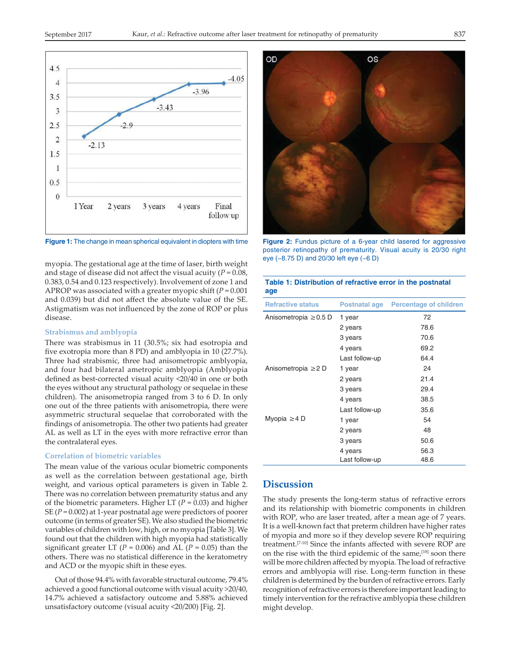

eye (−8.75 D) and 20/30 left eye (−6 D) myopia. The gestational age at the time of laser, birth weight and stage of disease did not affect the visual acuity (*P* = 0.08, 0.383, 0.54 and 0.123 respectively). Involvement of zone 1 and APROP was associated with a greater myopic shift (*P* = 0.001 and 0.039) but did not affect the absolute value of the SE. Astigmatism was not influenced by the zone of ROP or plus disease.

#### **Strabismus and amblyopia**

There was strabismus in 11 (30.5%; six had esotropia and five exotropia more than 8 PD) and amblyopia in 10 (27.7%). Three had strabismic, three had anisometropic amblyopia, and four had bilateral ametropic amblyopia (Amblyopia defined as best-corrected visual acuity <20/40 in one or both the eyes without any structural pathology or sequelae in these children). The anisometropia ranged from 3 to 6 D. In only one out of the three patients with anisometropia, there were asymmetric structural sequelae that corroborated with the findings of anisometropia. The other two patients had greater AL as well as LT in the eyes with more refractive error than the contralateral eyes.

#### **Correlation of biometric variables**

The mean value of the various ocular biometric components as well as the correlation between gestational age, birth weight, and various optical parameters is given in Table 2. There was no correlation between prematurity status and any of the biometric parameters. Higher LT (*P* = 0.03) and higher SE (*P* = 0.002) at 1‑year postnatal age were predictors of poorer outcome (in terms of greater SE). We also studied the biometric variables of children with low, high, or no myopia [Table 3]. We found out that the children with high myopia had statistically significant greater LT ( $P = 0.006$ ) and AL ( $P = 0.05$ ) than the others. There was no statistical difference in the keratometry and ACD or the myopic shift in these eyes.

Out of those 94.4% with favorable structural outcome, 79.4% achieved a good functional outcome with visual acuity >20/40, 14.7% achieved a satisfactory outcome and 5.88% achieved unsatisfactory outcome (visual acuity <20/200) [Fig. 2].



**Figure 1:** The change in mean spherical equivalent in diopters with time **Figure 2:** Fundus picture of a 6‑year child lasered for aggressive posterior retinopathy of prematurity. Visual acuity is 20/30 right

**Table 1: Distribution of refractive error in the postnatal** 

| <b>Refractive status</b>   | Postnatal age  | <b>Percentage of children</b> |
|----------------------------|----------------|-------------------------------|
| Anisometropia $\geq 0.5$ D | 1 year         | 72                            |
|                            | 2 years        | 78.6                          |
|                            | 3 years        | 70.6                          |
|                            | 4 years        | 69.2                          |
|                            | Last follow-up | 64.4                          |
| Anisometropia $\geq$ D     | 1 year         | 24                            |
|                            | 2 years        | 21.4                          |
|                            | 3 years        | 29.4                          |
|                            | 4 years        | 38.5                          |
|                            | Last follow-up | 35.6                          |
| Myopia $\geq$ 4 D          | 1 year         | 54                            |
|                            | 2 years        | 48                            |
|                            | 3 years        | 50.6                          |
|                            | 4 years        | 56.3                          |
|                            | Last follow-up | 48.6                          |

# **Discussion**

**age**

The study presents the long-term status of refractive errors and its relationship with biometric components in children with ROP, who are laser treated, after a mean age of 7 years. It is a well-known fact that preterm children have higher rates of myopia and more so if they develop severe ROP requiring treatment.[7‑10] Since the infants affected with severe ROP are on the rise with the third epidemic of the same,<sup>[18]</sup> soon there will be more children affected by myopia. The load of refractive errors and amblyopia will rise. Long-term function in these children is determined by the burden of refractive errors. Early recognition of refractive errors is therefore important leading to timely intervention for the refractive amblyopia these children might develop.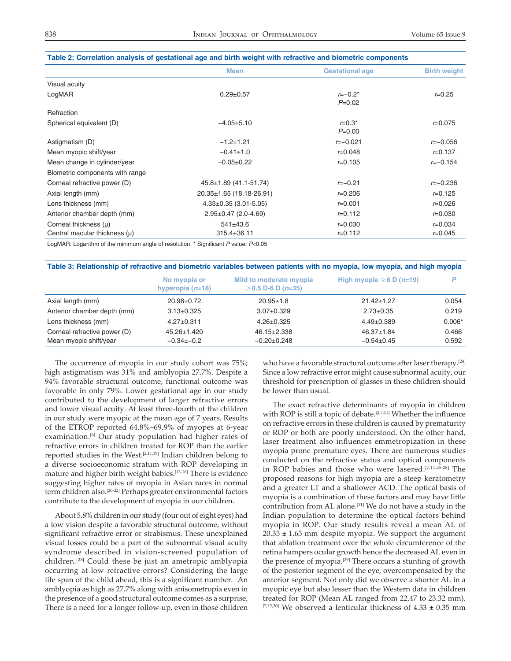|                                 | <b>Mean</b>                  | <b>Gestational age</b>  | <b>Birth weight</b> |
|---------------------------------|------------------------------|-------------------------|---------------------|
| Visual acuity                   |                              |                         |                     |
| LogMAR                          | $0.29 \pm 0.57$              | $r=-0.2*$<br>$P=0.02$   | $r = 0.25$          |
| Refraction                      |                              |                         |                     |
| Spherical equivalent (D)        | $-4.05+5.10$                 | $r = 0.3^*$<br>$P=0.00$ | $r = 0.075$         |
| Astigmatism (D)                 | $-1.2 + 1.21$                | $r=-0.021$              | $r=-0.056$          |
| Mean myopic shift/year          | $-0.41 \pm 1.0$              | $r = 0.048$             | $r = 0.137$         |
| Mean change in cylinder/year    | $-0.05+0.22$                 | $r = 0.105$             | $r=-0.154$          |
| Biometric components with range |                              |                         |                     |
| Corneal refractive power (D)    | $45.8 \pm 1.89$ (41.1-51.74) | $r=-0.21$               | $r=-0.236$          |
| Axial length (mm)               | 20.35±1.65 (18.18-26.91)     | $r = 0.206$             | $r = 0.125$         |
| Lens thickness (mm)             | $4.33\pm0.35$ (3.01-5.05)    | $r = 0.001$             | $r = 0.026$         |
| Anterior chamber depth (mm)     | $2.95 \pm 0.47$ (2.0-4.69)   | $r = 0.112$             | $r = 0.030$         |
| Corneal thickness $(\mu)$       | $541 \pm 43.6$               | $r = 0.030$             | $r = 0.034$         |
| Central macular thickness (µ)   | $315.4 \pm 36.11$            | $r = 0.112$             | $r = 0.045$         |
|                                 |                              |                         |                     |

### **Table 2: Correlation analysis of gestational age and birth weight with refractive and biometric components**

LogMAR: Logarithm of the minimum angle of resolution. \* Significant P value; P<0.05

|                              | No myopia or<br>hyperopia $(n=18)$ | Mild to moderate myopia<br>$\geq$ 0.5 D-6 D (n=35) | High myopia $\geq 6$ D (n=19) |          |
|------------------------------|------------------------------------|----------------------------------------------------|-------------------------------|----------|
| Axial length (mm)            | $20.96 \pm 0.72$                   | $20.95 \pm 1.8$                                    | $21.42 \pm 1.27$              | 0.054    |
| Anterior chamber depth (mm)  | $3.13 \pm 0.325$                   | $3.07 \pm 0.329$                                   | $2.73 \pm 0.35$               | 0.219    |
| Lens thickness (mm)          | $4.27 \pm 0.311$                   | $4.26 \pm 0.325$                                   | $4.49 \pm 0.389$              | $0.006*$ |
| Corneal refractive power (D) | $45.26 \pm 1.420$                  | $46.15 \pm 2.338$                                  | $46.37 \pm 1.84$              | 0.466    |
| Mean myopic shift/year       | $-0.34$ ± $-0.2$                   | $-0.20+0.248$                                      | $-0.54+0.45$                  | 0.592    |

The occurrence of myopia in our study cohort was 75%; high astigmatism was 31% and amblyopia 27.7%. Despite a 94% favorable structural outcome, functional outcome was favorable in only 79%. Lower gestational age in our study contributed to the development of larger refractive errors and lower visual acuity. At least three-fourth of the children in our study were myopic at the mean age of 7 years. Results of the ETROP reported 64.8%–69.9% of myopes at 6‑year examination.<sup>[6]</sup> Our study population had higher rates of refractive errors in children treated for ROP than the earlier reported studies in the West.[2,11,19] Indian children belong to a diverse socioeconomic stratum with ROP developing in mature and higher birth weight babies.<sup>[13-16]</sup> There is evidence suggesting higher rates of myopia in Asian races in normal term children also.<sup>[20-22]</sup> Perhaps greater environmental factors contribute to the development of myopia in our children.

About 5.8% children in our study (four out of eight eyes) had a low vision despite a favorable structural outcome, without significant refractive error or strabismus. These unexplained visual losses could be a part of the subnormal visual acuity syndrome described in vision-screened population of children.[23] Could these be just an ametropic amblyopia occurring at low refractive errors? Considering the large life span of the child ahead, this is a significant number.   An amblyopia as high as 27.7% along with anisometropia even in the presence of a good structural outcome comes as a surprise. There is a need for a longer follow-up, even in those children who have a favorable structural outcome after laser therapy.<sup>[24]</sup> Since a low refractive error might cause subnormal acuity, our threshold for prescription of glasses in these children should be lower than usual.

The exact refractive determinants of myopia in children with ROP is still a topic of debate.<sup>[2,7,11]</sup> Whether the influence on refractive errors in these children is caused by prematurity or ROP or both are poorly understood. On the other hand, laser treatment also influences emmetropization in these myopia prone premature eyes. There are numerous studies conducted on the refractive status and optical components in ROP babies and those who were lasered.[7,11,25‑28] The proposed reasons for high myopia are a steep keratometry and a greater LT and a shallower ACD. The optical basis of myopia is a combination of these factors and may have little contribution from AL alone.[11] We do not have a study in the Indian population to determine the optical factors behind myopia in ROP. Our study results reveal a mean AL of  $20.35 \pm 1.65$  mm despite myopia. We support the argument that ablation treatment over the whole circumference of the retina hampers ocular growth hence the decreased AL even in the presence of myopia.[29] There occurs a stunting of growth of the posterior segment of the eye, overcompensated by the anterior segment. Not only did we observe a shorter AL in a myopic eye but also lesser than the Western data in children treated for ROP (Mean AL ranged from 22.47 to 23.32 mm).  $[7,12,30]$  We observed a lenticular thickness of  $4.33 \pm 0.35$  mm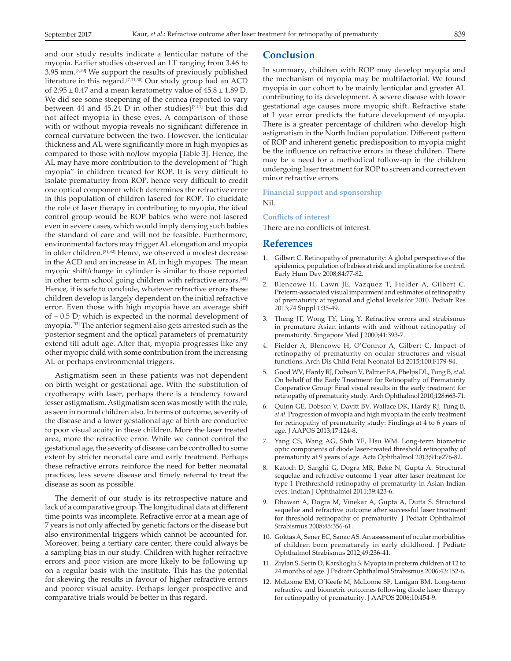and our study results indicate a lenticular nature of the myopia. Earlier studies observed an LT ranging from 3.46 to 3.95 mm.[7,30] We support the results of previously published literature in this regard.[7,11,30] Our study group had an ACD of  $2.95 \pm 0.47$  and a mean keratometry value of  $45.8 \pm 1.89$  D. We did see some steepening of the cornea (reported to vary between 44 and 45.24 D in other studies)<sup>[7,11]</sup> but this did not affect myopia in these eyes. A comparison of those with or without myopia reveals no significant difference in corneal curvature between the two. However, the lenticular thickness and AL were significantly more in high myopics as compared to those with no/low myopia [Table 3]. Hence, the AL may have more contribution to the development of "high myopia" in children treated for ROP. It is very difficult to isolate prematurity from ROP, hence very difficult to credit one optical component which determines the refractive error in this population of children lasered for ROP. To elucidate the role of laser therapy in contributing to myopia, the ideal control group would be ROP babies who were not lasered even in severe cases, which would imply denying such babies the standard of care and will not be feasible. Furthermore, environmental factors may trigger AL elongation and myopia in older children.[31,32] Hence, we observed a modest decrease in the ACD and an increase in AL in high myopes. The mean myopic shift/change in cylinder is similar to those reported in other term school going children with refractive errors.[33] Hence, it is safe to conclude, whatever refractive errors these children develop is largely dependent on the initial refractive error. Even those with high myopia have an average shift of − 0.5 D; which is expected in the normal development of myopia.[33] The anterior segment also gets arrested such as the posterior segment and the optical parameters of prematurity extend till adult age. After that, myopia progresses like any other myopic child with some contribution from the increasing AL or perhaps environmental triggers.

Astigmatism seen in these patients was not dependent on birth weight or gestational age. With the substitution of cryotherapy with laser, perhaps there is a tendency toward lesser astigmatism. Astigmatism seen was mostly with the rule, as seen in normal children also. In terms of outcome, severity of the disease and a lower gestational age at birth are conducive to poor visual acuity in these children. More the laser treated area, more the refractive error. While we cannot control the gestational age, the severity of disease can be controlled to some extent by stricter neonatal care and early treatment. Perhaps these refractive errors reinforce the need for better neonatal practices, less severe disease and timely referral to treat the disease as soon as possible.

The demerit of our study is its retrospective nature and lack of a comparative group. The longitudinal data at different time points was incomplete. Refractive error at a mean age of 7 years is not only affected by genetic factors or the disease but also environmental triggers which cannot be accounted for. Moreover, being a tertiary care center, there could always be a sampling bias in our study. Children with higher refractive errors and poor vision are more likely to be following up on a regular basis with the institute. This has the potential for skewing the results in favour of higher refractive errors and poorer visual acuity. Perhaps longer prospective and comparative trials would be better in this regard.

## **Conclusion**

In summary, children with ROP may develop myopia and the mechanism of myopia may be multifactorial. We found myopia in our cohort to be mainly lenticular and greater AL contributing to its development. A severe disease with lower gestational age causes more myopic shift. Refractive state at 1 year error predicts the future development of myopia. There is a greater percentage of children who develop high astigmatism in the North Indian population. Different pattern of ROP and inherent genetic predisposition to myopia might be the influence on refractive errors in these children. There may be a need for a methodical follow‑up in the children undergoing laser treatment for ROP to screen and correct even minor refractive errors.

**Financial support and sponsorship** Nil.

### **Conflicts of interest**

There are no conflicts of interest.

#### **References**

- 1. Gilbert C. Retinopathy of prematurity: A global perspective of the epidemics, population of babies at risk and implications for control. Early Hum Dev 2008;84:77‑82.
- 2. Blencowe H, Lawn JE, Vazquez T, Fielder A, Gilbert C. Preterm‑associated visual impairment and estimates of retinopathy of prematurity at regional and global levels for 2010. Pediatr Res 2013;74 Suppl 1:35‑49.
- 3. Theng JT, Wong TY, Ling Y. Refractive errors and strabismus in premature Asian infants with and without retinopathy of prematurity. Singapore Med J 2000;41:393‑7.
- 4. Fielder A, Blencowe H, O'Connor A, Gilbert C. Impact of retinopathy of prematurity on ocular structures and visual functions. Arch Dis Child Fetal Neonatal Ed 2015;100:F179‑84.
- 5. Good WV, Hardy RJ, Dobson V, Palmer EA, Phelps DL, Tung B, *et al*. On behalf of the Early Treatment for Retinopathy of Prematurity Cooperative Group: Final visual results in the early treatment for retinopathy of prematurity study. Arch Ophthalmol 2010;128:663-71.
- 6. Quinn GE, Dobson V, Davitt BV, Wallace DK, Hardy RJ, Tung B, *et al.* Progression of myopia and high myopia in the early treatment for retinopathy of prematurity study: Findings at 4 to 6 years of age. J AAPOS 2013;17:124‑8.
- 7. Yang CS, Wang AG, Shih YF, Hsu WM. Long-term biometric optic components of diode laser‑treated threshold retinopathy of prematurity at 9 years of age. Acta Ophthalmol 2013;91:e276‑82.
- 8. Katoch D, Sanghi G, Dogra MR, Beke N, Gupta A. Structural sequelae and refractive outcome 1 year after laser treatment for type 1 Prethreshold retinopathy of prematurity in Asian Indian eyes. Indian J Ophthalmol 2011;59:423‑6.
- 9. Dhawan A, Dogra M, Vinekar A, Gupta A, Dutta S. Structural sequelae and refractive outcome after successful laser treatment for threshold retinopathy of prematurity. J Pediatr Ophthalmol Strabismus 2008;45:356‑61.
- 10. Goktas A, Sener EC, Sanac AS. An assessment of ocular morbidities of children born prematurely in early childhood. J Pediatr Ophthalmol Strabismus 2012;49:236‑41.
- 11. Ziylan S, Serin D, Karslioglu S. Myopia in preterm children at 12 to 24 months of age. J Pediatr Ophthalmol Strabismus 2006;43:152‑6.
- 12. McLoone EM, O'Keefe M, McLoone SF, Lanigan BM. Long-term refractive and biometric outcomes following diode laser therapy for retinopathy of prematurity. J AAPOS 2006;10:454‑9.